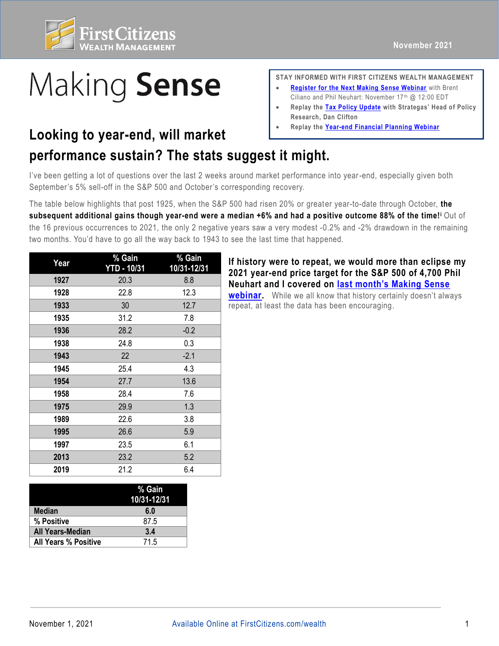

## Making Sense

## **Looking to year-end, will market Learly Replay the [Year-end Financial Planning Webinar](https://fast.wistia.net/embed/channel/3szt6oi0ia?wchannelid=3szt6oi0ia&wvideoid=og0uog6f0w)**

## **performance sustain? The stats suggest it might.**

I've been getting a lot of questions over the last 2 weeks around market performance into year -end, especially given both September's 5% sell-off in the S&P 500 and October's corresponding recovery.

The table below highlights that post 1925, when the S&P 500 had risen 20% or greater year-to-date through October, **the subsequent additional gains though year-end were a median +6% and had a positive outcome 88% of the time!<sup>i</sup>** Out of the 16 previous occurrences to 2021, the only 2 negative years saw a very modest -0.2% and -2% drawdown in the remaining two months. You'd have to go all the way back to 1943 to see the last time that happened.

| Year | % Gain<br><b>YTD - 10/31</b> | % Gain<br>10/31-12/31 |
|------|------------------------------|-----------------------|
| 1927 | 20.3                         | 8.8                   |
| 1928 | 22.8                         | 12.3                  |
| 1933 | 30                           | 12.7                  |
| 1935 | 31.2                         | 7.8                   |
| 1936 | 28.2                         | $-0.2$                |
| 1938 | 24.8                         | 0.3                   |
| 1943 | 22                           | $-2.1$                |
| 1945 | 25.4                         | 4.3                   |
| 1954 | 27.7                         | 13.6                  |
| 1958 | 28.4                         | 7.6                   |
| 1975 | 29.9                         | 1.3                   |
| 1989 | 22.6                         | 3.8                   |
| 1995 | 26.6                         | 5.9                   |
| 1997 | 23.5                         | 6.1                   |
| 2013 | 23.2                         | 5.2                   |
| 2019 | 21.2                         | 6.4                   |

|                             | % Gain<br>10/31-12/31 |
|-----------------------------|-----------------------|
| <b>Median</b>               | 6.0                   |
| % Positive                  | 87.5                  |
| <b>All Years-Median</b>     | 3.4                   |
| <b>All Years % Positive</b> | 71.5                  |

**STAY INFORMED WITH FIRST CITIZENS WEALTH MANAGEMENT** 

- **[Register for the Next Making Sense Webinar](https://firstcitizens.webex.com/firstcitizens/onstage/g.php?MTID=ea560bf6f6659b2673277549dec621926)** with Brent Ciliano and Phil Neuhart: November 17th @ 12:00 EDT
- **Replay the [Tax Policy Update](https://fast.wistia.net/embed/channel/3szt6oi0ia?wchannelid=3szt6oi0ia&wvideoid=o4wmftqk4x) with Strategas' Head of Policy Research, Dan Clifton**
- 

**If history were to repeat, we would more than eclipse my 2021 year-end price target for the S&P 500 of 4,700 Phil Neuhart and I covered on [last month's Making Sense](https://www.firstcitizens.com/wealth/market-outlook/2021/making-sense-september-highlights?utm_medium=email&utm_source=outlook&utm_campaign=makingsensenovoutlook&utm_content=viewwebinar)** 

**[webinar.](https://www.firstcitizens.com/wealth/market-outlook/2021/making-sense-september-highlights?utm_medium=email&utm_source=outlook&utm_campaign=makingsensenovoutlook&utm_content=viewwebinar)** While we all know that history certainly doesn't always repeat, at least the data has been encouraging.